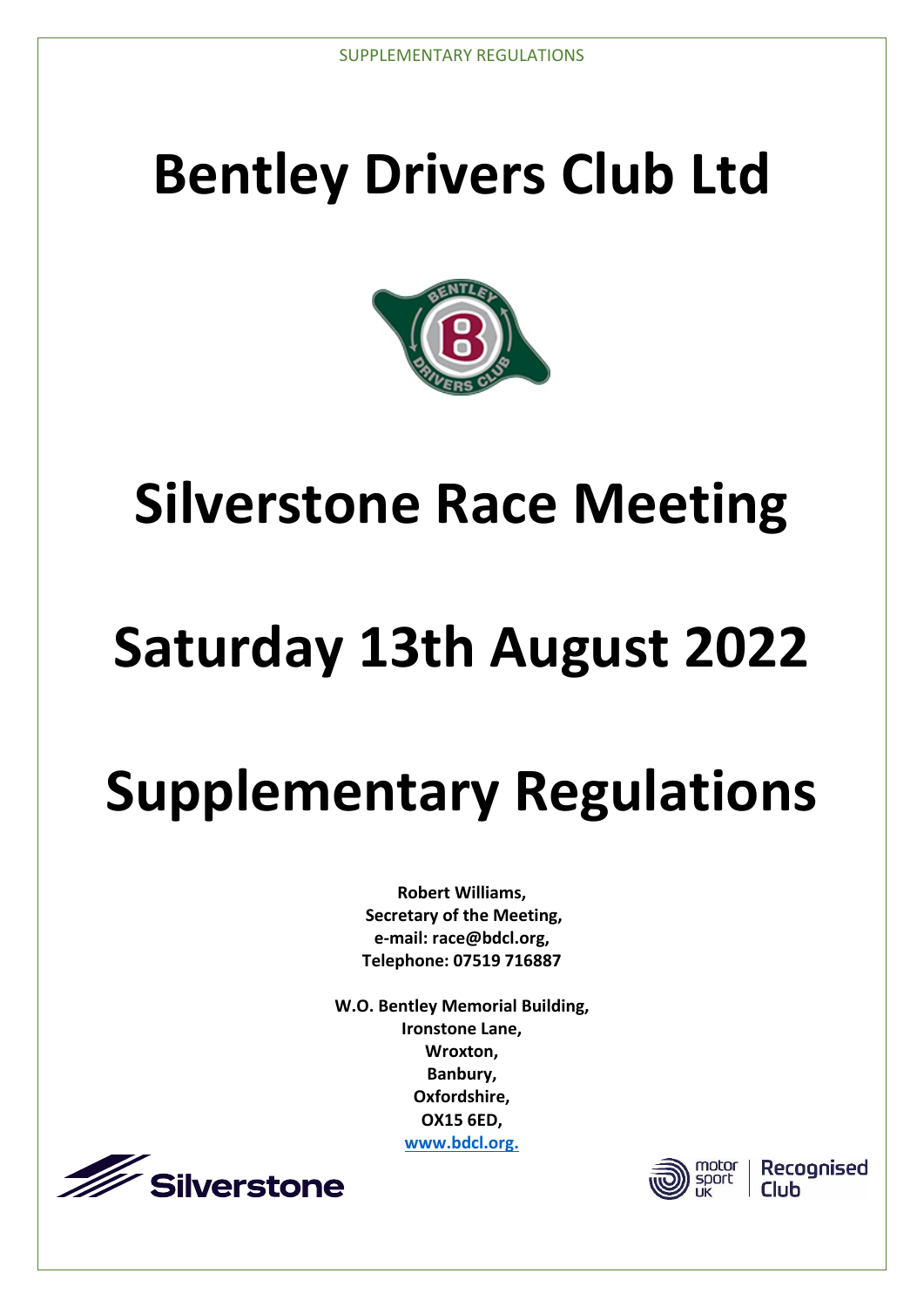# **Bentley Drivers Club Ltd**



# **Silverstone Race Meeting**

# **Saturday 13th August 2022**

# **Supplementary Regulations**

**Robert Williams, Secretary of the Meeting, e-mail: race@bdcl.org, Telephone: 07519 716887**

**W.O. Bentley Memorial Building, Ironstone Lane, Wroxton, Banbury, Oxfordshire, OX15 6ED, [www.bdcl.org.](file://///bdclserver/bentley/Silverstone/Silverstone%202021/Supplementary%20Regs/www.bdcl.org.)**





Recognised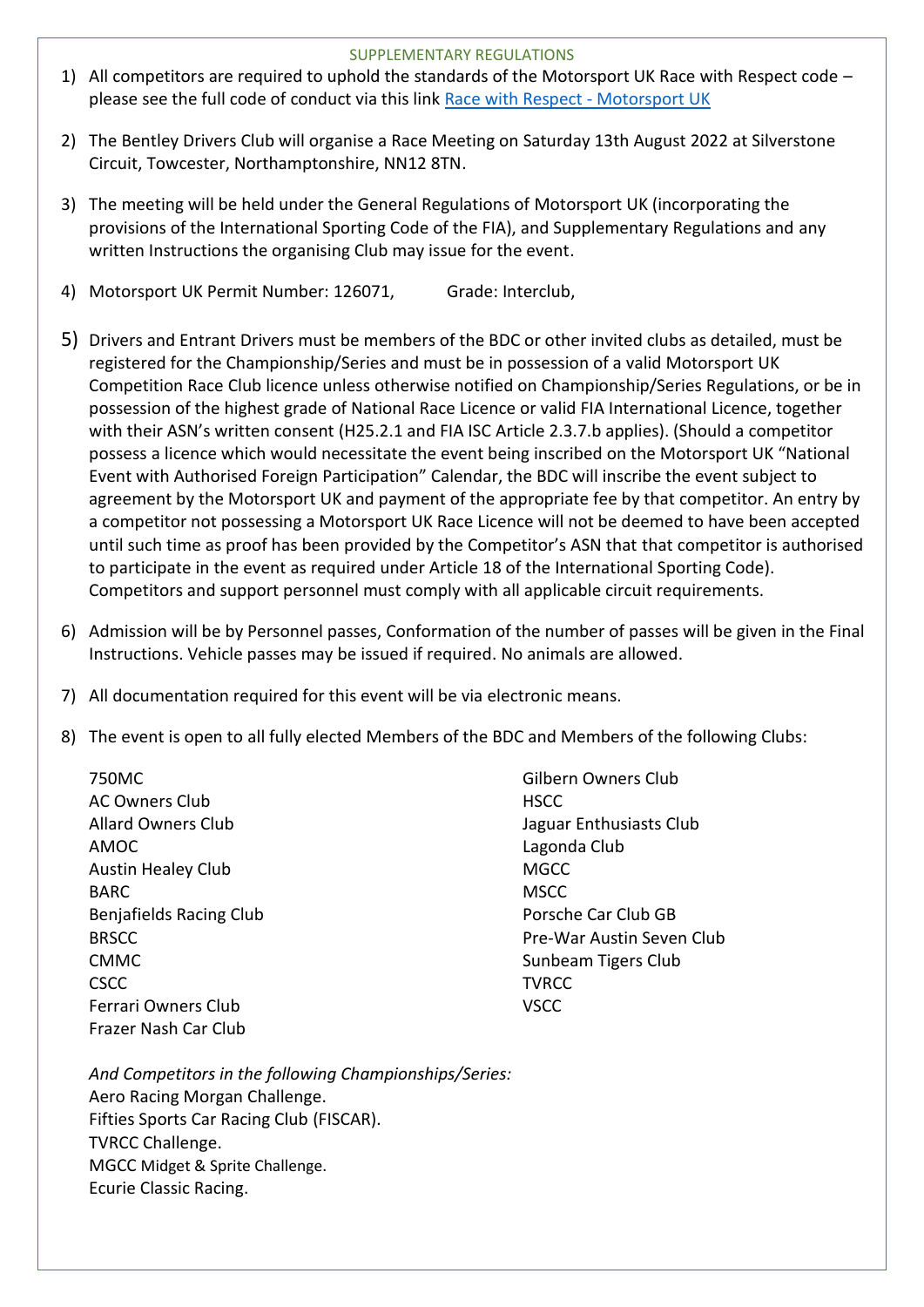- 1) All competitors are required to uphold the standards of the Motorsport UK Race with Respect code please see the full code of conduct via this link [Race with Respect -](https://www.motorsportuk.org/racewithrespect/) Motorsport UK
- 2) The Bentley Drivers Club will organise a Race Meeting on Saturday 13th August 2022 at Silverstone Circuit, Towcester, Northamptonshire, NN12 8TN.
- 3) The meeting will be held under the General Regulations of Motorsport UK (incorporating the provisions of the International Sporting Code of the FIA), and Supplementary Regulations and any written Instructions the organising Club may issue for the event.
- 4) Motorsport UK Permit Number: 126071, Grade: Interclub,
- 5) Drivers and Entrant Drivers must be members of the BDC or other invited clubs as detailed, must be registered for the Championship/Series and must be in possession of a valid Motorsport UK Competition Race Club licence unless otherwise notified on Championship/Series Regulations, or be in possession of the highest grade of National Race Licence or valid FIA International Licence, together with their ASN's written consent (H25.2.1 and FIA ISC Article 2.3.7.b applies). (Should a competitor possess a licence which would necessitate the event being inscribed on the Motorsport UK "National Event with Authorised Foreign Participation" Calendar, the BDC will inscribe the event subject to agreement by the Motorsport UK and payment of the appropriate fee by that competitor. An entry by a competitor not possessing a Motorsport UK Race Licence will not be deemed to have been accepted until such time as proof has been provided by the Competitor's ASN that that competitor is authorised to participate in the event as required under Article 18 of the International Sporting Code). Competitors and support personnel must comply with all applicable circuit requirements.
- 6) Admission will be by Personnel passes, Conformation of the number of passes will be given in the Final Instructions. Vehicle passes may be issued if required. No animals are allowed.
- 7) All documentation required for this event will be via electronic means.
- 8) The event is open to all fully elected Members of the BDC and Members of the following Clubs:

750MC AC Owners Club Allard Owners Club AMOC Austin Healey Club BARC Benjafields Racing Club BRSCC CMMC CSCC Ferrari Owners Club Frazer Nash Car Club

Gilbern Owners Club **HSCC** Jaguar Enthusiasts Club Lagonda Club **MGCC MSCC** Porsche Car Club GB Pre-War Austin Seven Club Sunbeam Tigers Club **TVRCC** VSCC

*And Competitors in the following Championships/Series:* Aero Racing Morgan Challenge. Fifties Sports Car Racing Club (FISCAR). TVRCC Challenge. MGCC Midget & Sprite Challenge. Ecurie Classic Racing.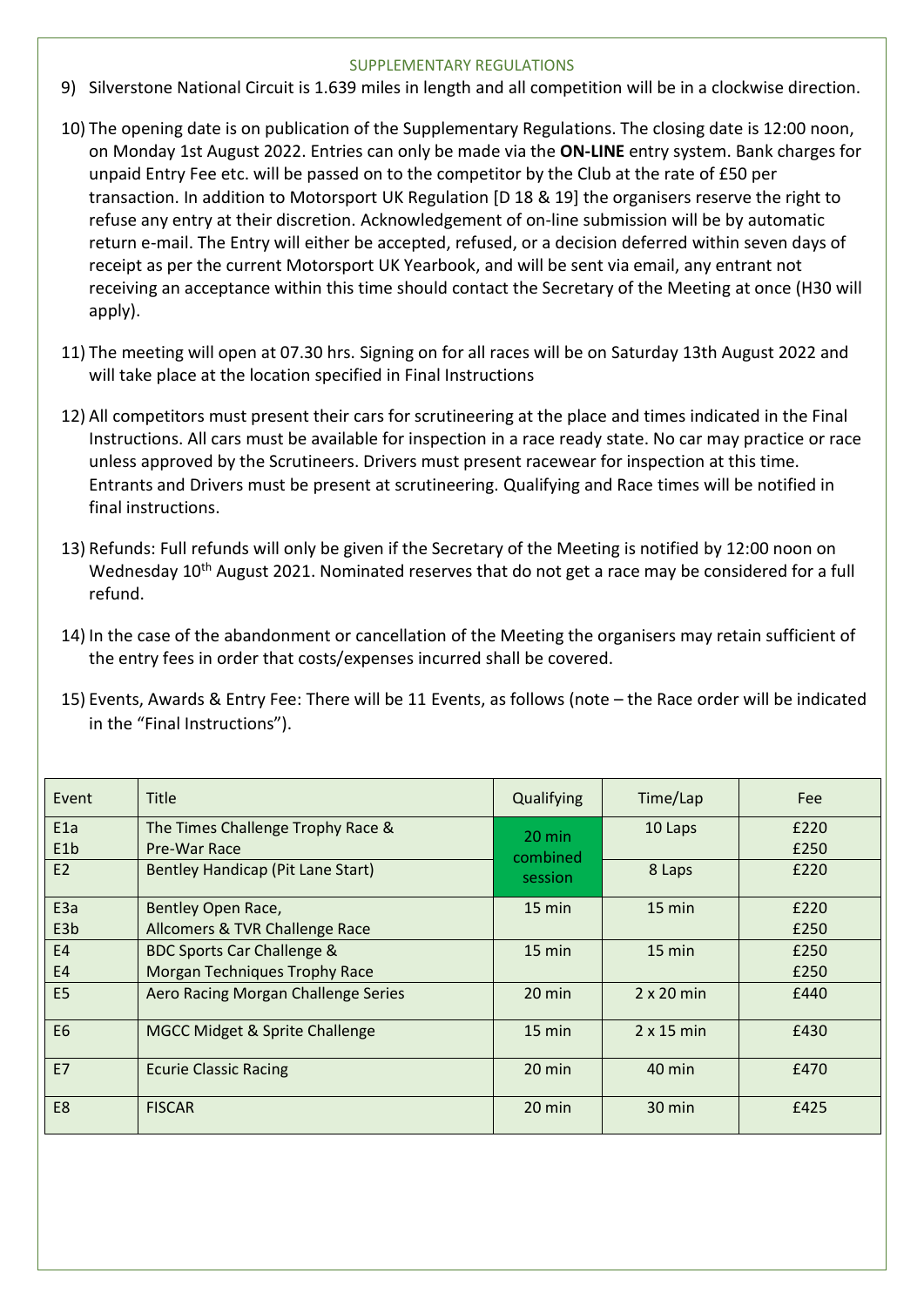- 9) Silverstone National Circuit is 1.639 miles in length and all competition will be in a clockwise direction.
- 10) The opening date is on publication of the Supplementary Regulations. The closing date is 12:00 noon, on Monday 1st August 2022. Entries can only be made via the **ON-LINE** entry system. Bank charges for unpaid Entry Fee etc. will be passed on to the competitor by the Club at the rate of £50 per transaction. In addition to Motorsport UK Regulation [D 18 & 19] the organisers reserve the right to refuse any entry at their discretion. Acknowledgement of on-line submission will be by automatic return e-mail. The Entry will either be accepted, refused, or a decision deferred within seven days of receipt as per the current Motorsport UK Yearbook, and will be sent via email, any entrant not receiving an acceptance within this time should contact the Secretary of the Meeting at once (H30 will apply).
- 11) The meeting will open at 07.30 hrs. Signing on for all races will be on Saturday 13th August 2022 and will take place at the location specified in Final Instructions
- 12) All competitors must present their cars for scrutineering at the place and times indicated in the Final Instructions. All cars must be available for inspection in a race ready state. No car may practice or race unless approved by the Scrutineers. Drivers must present racewear for inspection at this time. Entrants and Drivers must be present at scrutineering. Qualifying and Race times will be notified in final instructions.
- 13) Refunds: Full refunds will only be given if the Secretary of the Meeting is notified by 12:00 noon on Wednesday 10<sup>th</sup> August 2021. Nominated reserves that do not get a race may be considered for a full refund.
- 14) In the case of the abandonment or cancellation of the Meeting the organisers may retain sufficient of the entry fees in order that costs/expenses incurred shall be covered.
- 15) Events, Awards & Entry Fee: There will be 11 Events, as follows (note the Race order will be indicated in the "Final Instructions").

| Event            | <b>Title</b>                                      | Qualifying                   | Time/Lap          | Fee          |
|------------------|---------------------------------------------------|------------------------------|-------------------|--------------|
| E1a<br>E1b       | The Times Challenge Trophy Race &<br>Pre-War Race | $20 \text{ min}$<br>combined | 10 Laps           | £220<br>£250 |
| E2               | Bentley Handicap (Pit Lane Start)                 | session                      | 8 Laps            | £220         |
| E <sub>3a</sub>  | Bentley Open Race,                                | $15$ min                     | $15 \text{ min}$  | £220         |
| E <sub>3</sub> b | Allcomers & TVR Challenge Race                    |                              |                   | £250         |
| <b>E4</b>        | <b>BDC Sports Car Challenge &amp;</b>             | 15 min                       | 15 min            | £250         |
| <b>E4</b>        | <b>Morgan Techniques Trophy Race</b>              |                              |                   | £250         |
| E <sub>5</sub>   | Aero Racing Morgan Challenge Series               | 20 min                       | $2 \times 20$ min | £440         |
| E6               | MGCC Midget & Sprite Challenge                    | 15 min                       | $2 \times 15$ min | £430         |
| <b>E7</b>        | <b>Ecurie Classic Racing</b>                      | 20 min                       | $40$ min          | £470         |
| E8               | <b>FISCAR</b>                                     | 20 min                       | $30 \text{ min}$  | £425         |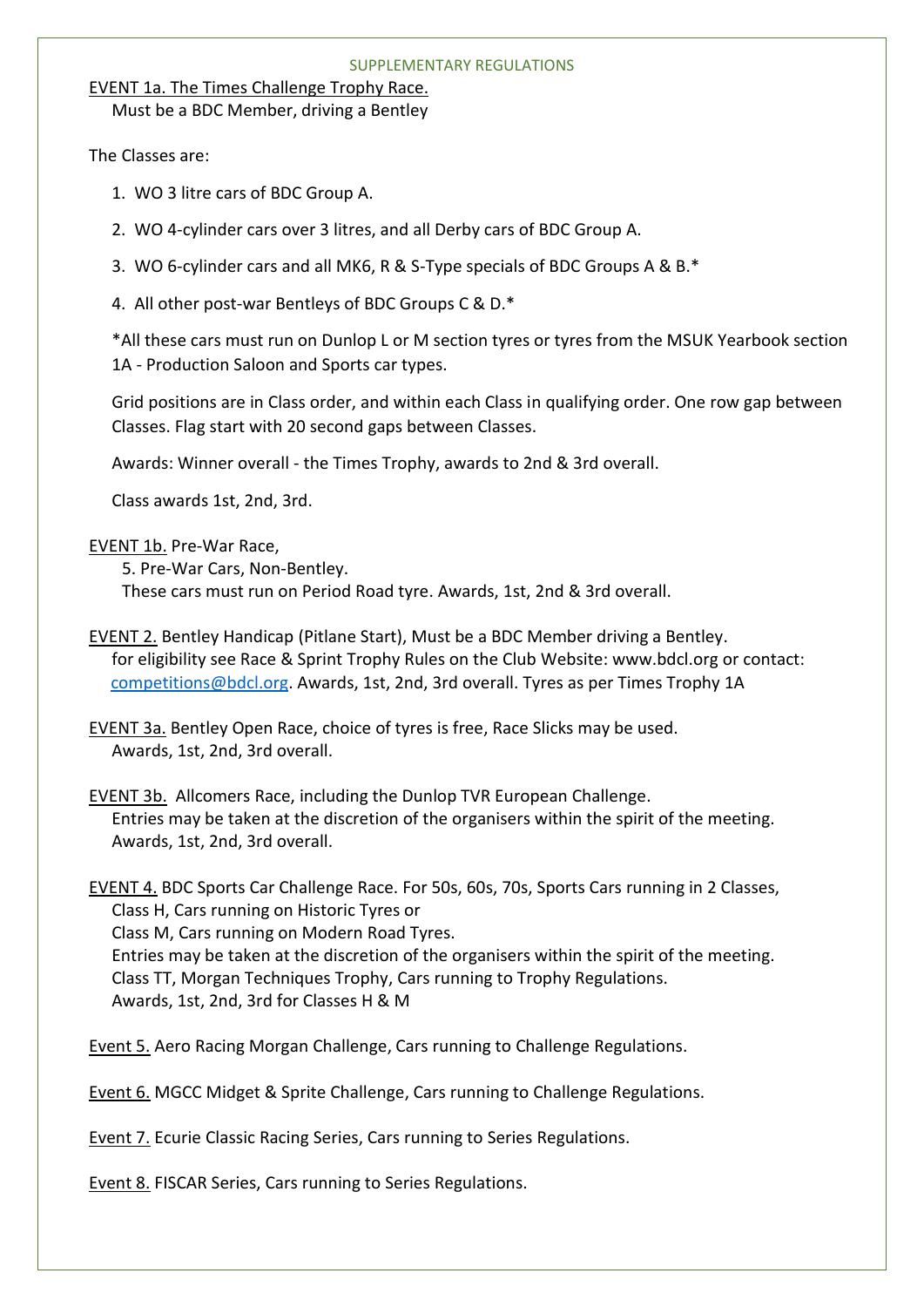## EVENT 1a. The Times Challenge Trophy Race.

Must be a BDC Member, driving a Bentley

The Classes are:

- 1. WO 3 litre cars of BDC Group A.
- 2. WO 4-cylinder cars over 3 litres, and all Derby cars of BDC Group A.
- 3. WO 6-cylinder cars and all MK6, R & S-Type specials of BDC Groups A & B.\*
- 4. All other post-war Bentleys of BDC Groups C & D.\*

\*All these cars must run on Dunlop L or M section tyres or tyres from the MSUK Yearbook section 1A - Production Saloon and Sports car types.

Grid positions are in Class order, and within each Class in qualifying order. One row gap between Classes. Flag start with 20 second gaps between Classes.

Awards: Winner overall - the Times Trophy, awards to 2nd & 3rd overall.

Class awards 1st, 2nd, 3rd.

# EVENT 1b. Pre-War Race,

5. Pre-War Cars, Non-Bentley. These cars must run on Period Road tyre. Awards, 1st, 2nd & 3rd overall.

EVENT 2. Bentley Handicap (Pitlane Start), Must be a BDC Member driving a Bentley. for eligibility see Race & Sprint Trophy Rules on the Club Website: www.bdcl.org or contact: [competitions@bdcl.org.](mailto:competitions@bdcl.org) Awards, 1st, 2nd, 3rd overall. Tyres as per Times Trophy 1A

EVENT 3a. Bentley Open Race, choice of tyres is free, Race Slicks may be used. Awards, 1st, 2nd, 3rd overall.

EVENT 3b. Allcomers Race, including the Dunlop TVR European Challenge. Entries may be taken at the discretion of the organisers within the spirit of the meeting. Awards, 1st, 2nd, 3rd overall.

EVENT 4. BDC Sports Car Challenge Race. For 50s, 60s, 70s, Sports Cars running in 2 Classes, Class H, Cars running on Historic Tyres or Class M, Cars running on Modern Road Tyres. Entries may be taken at the discretion of the organisers within the spirit of the meeting. Class TT, Morgan Techniques Trophy, Cars running to Trophy Regulations. Awards, 1st, 2nd, 3rd for Classes H & M

Event 5. Aero Racing Morgan Challenge, Cars running to Challenge Regulations.

Event 6. MGCC Midget & Sprite Challenge, Cars running to Challenge Regulations.

Event 7. Ecurie Classic Racing Series, Cars running to Series Regulations.

Event 8. FISCAR Series, Cars running to Series Regulations.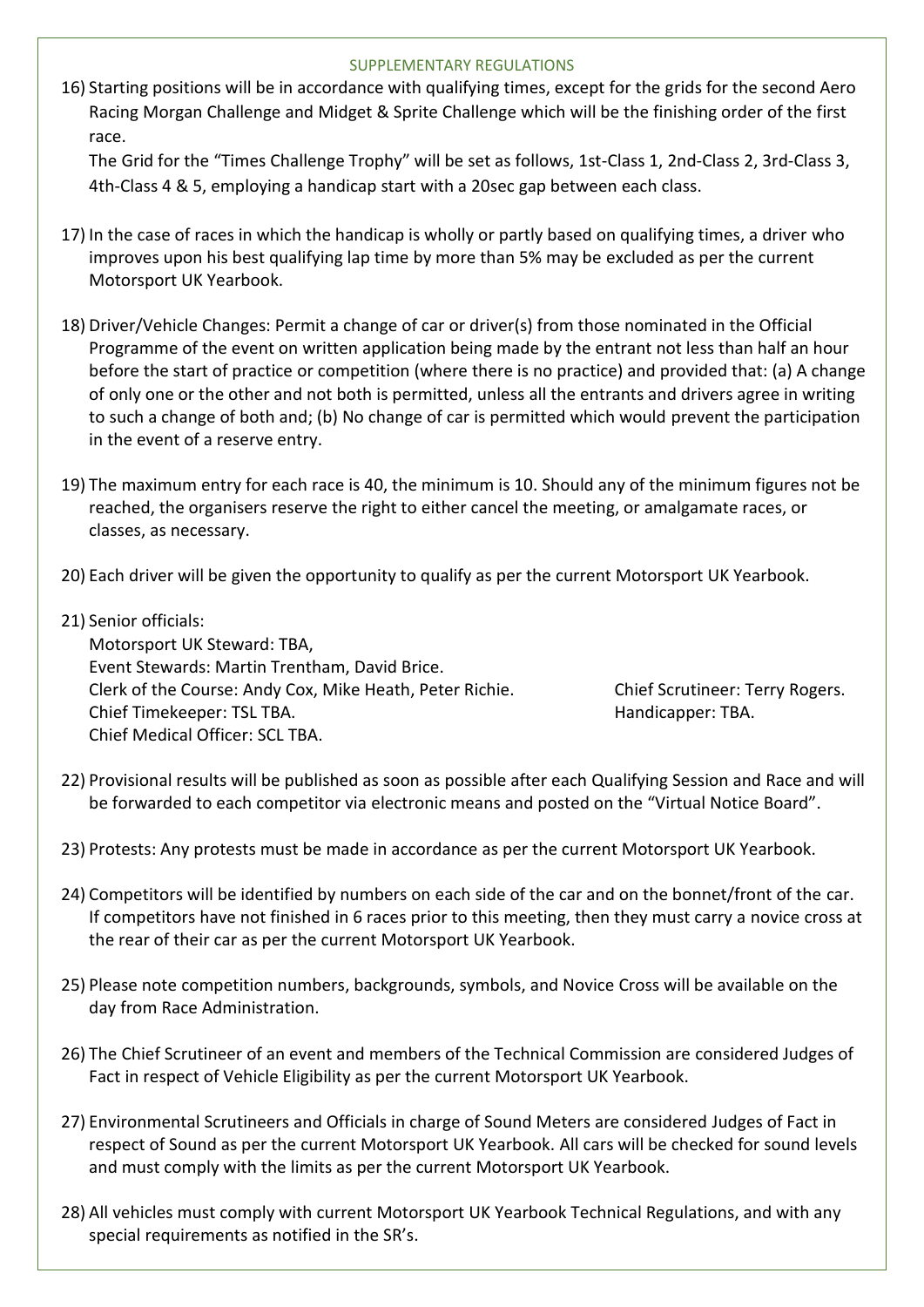16) Starting positions will be in accordance with qualifying times, except for the grids for the second Aero Racing Morgan Challenge and Midget & Sprite Challenge which will be the finishing order of the first race.

The Grid for the "Times Challenge Trophy" will be set as follows, 1st-Class 1, 2nd-Class 2, 3rd-Class 3, 4th-Class 4 & 5, employing a handicap start with a 20sec gap between each class.

- 17) In the case of races in which the handicap is wholly or partly based on qualifying times, a driver who improves upon his best qualifying lap time by more than 5% may be excluded as per the current Motorsport UK Yearbook.
- 18) Driver/Vehicle Changes: Permit a change of car or driver(s) from those nominated in the Official Programme of the event on written application being made by the entrant not less than half an hour before the start of practice or competition (where there is no practice) and provided that: (a) A change of only one or the other and not both is permitted, unless all the entrants and drivers agree in writing to such a change of both and; (b) No change of car is permitted which would prevent the participation in the event of a reserve entry.
- 19) The maximum entry for each race is 40, the minimum is 10. Should any of the minimum figures not be reached, the organisers reserve the right to either cancel the meeting, or amalgamate races, or classes, as necessary.
- 20) Each driver will be given the opportunity to qualify as per the current Motorsport UK Yearbook.
- 21) Senior officials:

Motorsport UK Steward: TBA, Event Stewards: Martin Trentham, David Brice. Clerk of the Course: Andy Cox, Mike Heath, Peter Richie. Chief Scrutineer: Terry Rogers. Chief Timekeeper: TSL TBA. https://www.bitary.com/chief Timekeeper: TBA. Chief Medical Officer: SCL TBA.

- 22) Provisional results will be published as soon as possible after each Qualifying Session and Race and will be forwarded to each competitor via electronic means and posted on the "Virtual Notice Board".
- 23) Protests: Any protests must be made in accordance as per the current Motorsport UK Yearbook.
- 24) Competitors will be identified by numbers on each side of the car and on the bonnet/front of the car. If competitors have not finished in 6 races prior to this meeting, then they must carry a novice cross at the rear of their car as per the current Motorsport UK Yearbook.
- 25) Please note competition numbers, backgrounds, symbols, and Novice Cross will be available on the day from Race Administration.
- 26) The Chief Scrutineer of an event and members of the Technical Commission are considered Judges of Fact in respect of Vehicle Eligibility as per the current Motorsport UK Yearbook.
- 27) Environmental Scrutineers and Officials in charge of Sound Meters are considered Judges of Fact in respect of Sound as per the current Motorsport UK Yearbook. All cars will be checked for sound levels and must comply with the limits as per the current Motorsport UK Yearbook.
- 28) All vehicles must comply with current Motorsport UK Yearbook Technical Regulations, and with any special requirements as notified in the SR's.